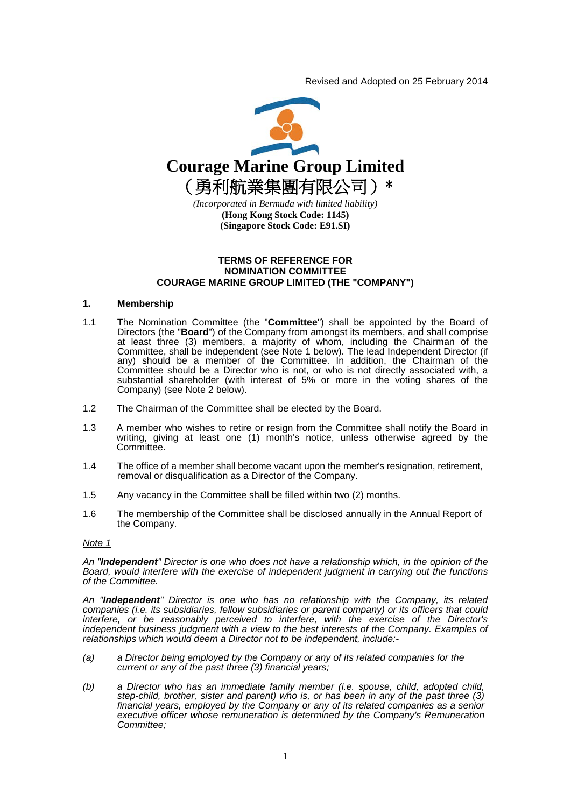Revised and Adopted on 25 February 2014



### **TERMS OF REFERENCE FOR NOMINATION COMMITTEE COURAGE MARINE GROUP LIMITED (THE "COMPANY")**

### **1. Membership**

- 1.1 The Nomination Committee (the "**Committee**") shall be appointed by the Board of Directors (the "**Board**") of the Company from amongst its members, and shall comprise at least three (3) members, a majority of whom, including the Chairman of the Committee, shall be independent (see Note 1 below). The lead Independent Director (if any) should be a member of the Committee. In addition, the Chairman of the Committee should be a Director who is not, or who is not directly associated with, a substantial shareholder (with interest of 5% or more in the voting shares of the Company) (see Note 2 below).
- 1.2 The Chairman of the Committee shall be elected by the Board.
- 1.3 A member who wishes to retire or resign from the Committee shall notify the Board in writing, giving at least one (1) month's notice, unless otherwise agreed by the Committee.
- 1.4 The office of a member shall become vacant upon the member's resignation, retirement, removal or disqualification as a Director of the Company.
- 1.5 Any vacancy in the Committee shall be filled within two (2) months.
- 1.6 The membership of the Committee shall be disclosed annually in the Annual Report of the Company.

#### *Note 1*

*An "Independent" Director is one who does not have a relationship which, in the opinion of the Board, would interfere with the exercise of independent judgment in carrying out the functions of the Committee.*

*An "Independent" Director is one who has no relationship with the Company, its related companies (i.e. its subsidiaries, fellow subsidiaries or parent company) or its officers that could interfere, or be reasonably perceived to interfere, with the exercise of the Director's independent business judgment with a view to the best interests of the Company. Examples of relationships which would deem a Director not to be independent, include:-*

- *(a) a Director being employed by the Company or any of its related companies for the current or any of the past three (3) financial years;*
- *(b) a Director who has an immediate family member (i.e. spouse, child, adopted child, step-child, brother, sister and parent) who is, or has been in any of the past three (3) financial years, employed by the Company or any of its related companies as a senior executive officer whose remuneration is determined by the Company's Remuneration Committee;*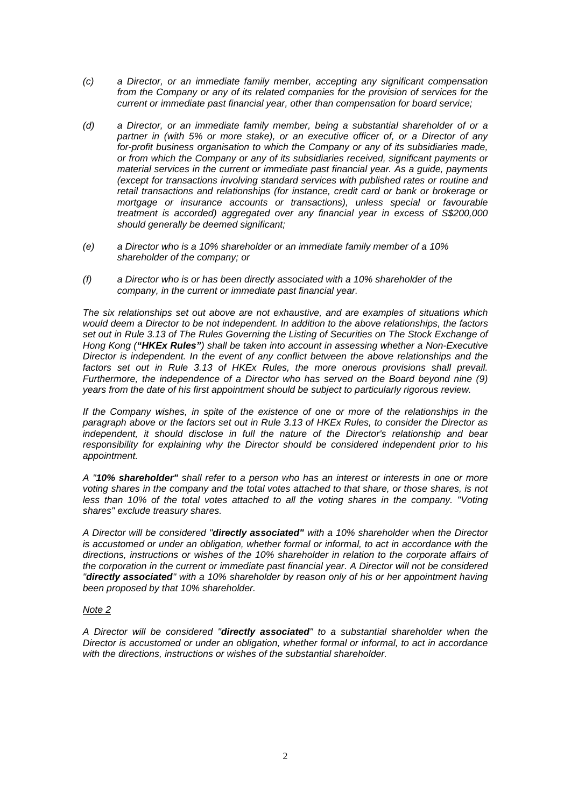- *(c) a Director, or an immediate family member, accepting any significant compensation from the Company or any of its related companies for the provision of services for the current or immediate past financial year, other than compensation for board service;*
- *(d) a Director, or an immediate family member, being a substantial shareholder of or a partner in (with 5% or more stake), or an executive officer of, or a Director of any for-profit business organisation to which the Company or any of its subsidiaries made, or from which the Company or any of its subsidiaries received, significant payments or material services in the current or immediate past financial year. As a guide, payments (except for transactions involving standard services with published rates or routine and retail transactions and relationships (for instance, credit card or bank or brokerage or mortgage or insurance accounts or transactions), unless special or favourable treatment is accorded) aggregated over any financial year in excess of S\$200,000 should generally be deemed significant;*
- *(e) a Director who is a 10% shareholder or an immediate family member of a 10% shareholder of the company; or*
- *(f) a Director who is or has been directly associated with a 10% shareholder of the company, in the current or immediate past financial year.*

*The six relationships set out above are not exhaustive, and are examples of situations which would deem a Director to be not independent. In addition to the above relationships, the factors set out in Rule 3.13 of The Rules Governing the Listing of Securities on The Stock Exchange of Hong Kong ("HKEx Rules") shall be taken into account in assessing whether a Non-Executive Director is independent. In the event of any conflict between the above relationships and the factors set out in Rule 3.13 of HKEx Rules, the more onerous provisions shall prevail. Furthermore, the independence of a Director who has served on the Board beyond nine (9) years from the date of his first appointment should be subject to particularly rigorous review.*

*If the Company wishes, in spite of the existence of one or more of the relationships in the paragraph above or the factors set out in Rule 3.13 of HKEx Rules, to consider the Director as independent, it should disclose in full the nature of the Director's relationship and bear responsibility for explaining why the Director should be considered independent prior to his appointment.*

*A "10% shareholder" shall refer to a person who has an interest or interests in one or more voting shares in the company and the total votes attached to that share, or those shares, is not less than 10% of the total votes attached to all the voting shares in the company. "Voting shares" exclude treasury shares.*

*A Director will be considered "directly associated" with a 10% shareholder when the Director is accustomed or under an obligation, whether formal or informal, to act in accordance with the directions, instructions or wishes of the 10% shareholder in relation to the corporate affairs of the corporation in the current or immediate past financial year. A Director will not be considered "directly associated" with a 10% shareholder by reason only of his or her appointment having been proposed by that 10% shareholder.*

## *Note 2*

*A Director will be considered "directly associated" to a substantial shareholder when the Director is accustomed or under an obligation, whether formal or informal, to act in accordance with the directions, instructions or wishes of the substantial shareholder.*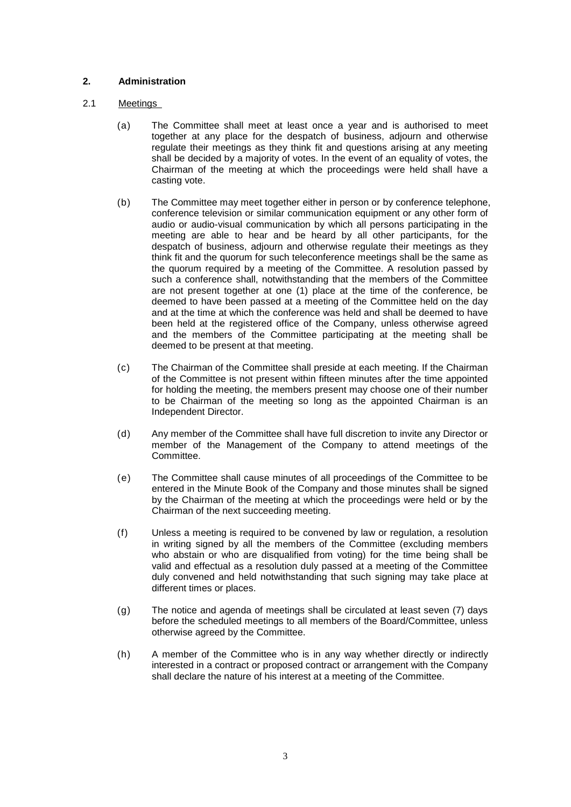# **2. Administration**

# 2.1 Meetings

- (a) The Committee shall meet at least once a year and is authorised to meet together at any place for the despatch of business, adjourn and otherwise regulate their meetings as they think fit and questions arising at any meeting shall be decided by a majority of votes. In the event of an equality of votes, the Chairman of the meeting at which the proceedings were held shall have a casting vote.
- (b) The Committee may meet together either in person or by conference telephone, conference television or similar communication equipment or any other form of audio or audio-visual communication by which all persons participating in the meeting are able to hear and be heard by all other participants, for the despatch of business, adjourn and otherwise regulate their meetings as they think fit and the quorum for such teleconference meetings shall be the same as the quorum required by a meeting of the Committee. A resolution passed by such a conference shall, notwithstanding that the members of the Committee are not present together at one (1) place at the time of the conference, be deemed to have been passed at a meeting of the Committee held on the day and at the time at which the conference was held and shall be deemed to have been held at the registered office of the Company, unless otherwise agreed and the members of the Committee participating at the meeting shall be deemed to be present at that meeting.
- (c) The Chairman of the Committee shall preside at each meeting. If the Chairman of the Committee is not present within fifteen minutes after the time appointed for holding the meeting, the members present may choose one of their number to be Chairman of the meeting so long as the appointed Chairman is an Independent Director.
- (d) Any member of the Committee shall have full discretion to invite any Director or member of the Management of the Company to attend meetings of the Committee.
- (e) The Committee shall cause minutes of all proceedings of the Committee to be entered in the Minute Book of the Company and those minutes shall be signed by the Chairman of the meeting at which the proceedings were held or by the Chairman of the next succeeding meeting.
- (f) Unless a meeting is required to be convened by law or regulation, a resolution in writing signed by all the members of the Committee (excluding members who abstain or who are disqualified from voting) for the time being shall be valid and effectual as a resolution duly passed at a meeting of the Committee duly convened and held notwithstanding that such signing may take place at different times or places.
- (g) The notice and agenda of meetings shall be circulated at least seven (7) days before the scheduled meetings to all members of the Board/Committee, unless otherwise agreed by the Committee.
- (h) A member of the Committee who is in any way whether directly or indirectly interested in a contract or proposed contract or arrangement with the Company shall declare the nature of his interest at a meeting of the Committee.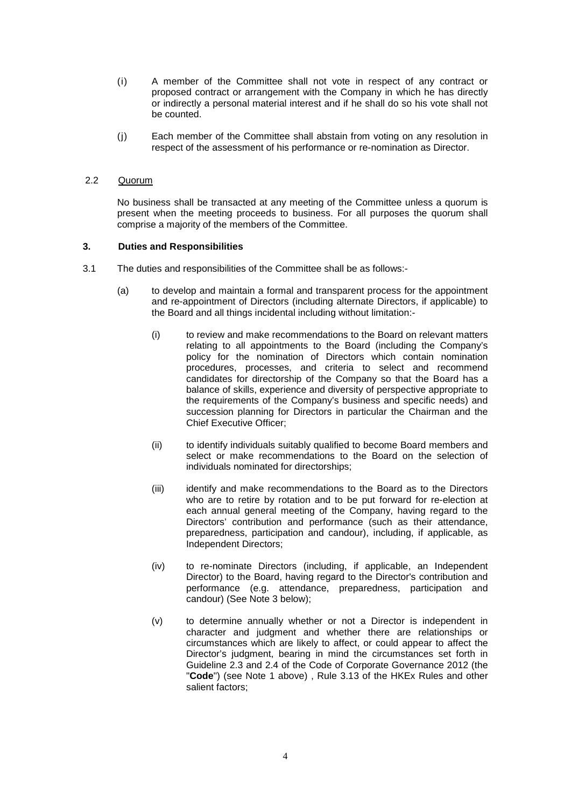- (i) A member of the Committee shall not vote in respect of any contract or proposed contract or arrangement with the Company in which he has directly or indirectly a personal material interest and if he shall do so his vote shall not be counted.
- (j) Each member of the Committee shall abstain from voting on any resolution in respect of the assessment of his performance or re-nomination as Director.

## 2.2 Quorum

No business shall be transacted at any meeting of the Committee unless a quorum is present when the meeting proceeds to business. For all purposes the quorum shall comprise a majority of the members of the Committee.

#### **3. Duties and Responsibilities**

- 3.1 The duties and responsibilities of the Committee shall be as follows:-
	- (a) to develop and maintain a formal and transparent process for the appointment and re-appointment of Directors (including alternate Directors, if applicable) to the Board and all things incidental including without limitation:-
		- (i) to review and make recommendations to the Board on relevant matters relating to all appointments to the Board (including the Company's policy for the nomination of Directors which contain nomination procedures, processes, and criteria to select and recommend candidates for directorship of the Company so that the Board has a balance of skills, experience and diversity of perspective appropriate to the requirements of the Company's business and specific needs) and succession planning for Directors in particular the Chairman and the Chief Executive Officer;
		- (ii) to identify individuals suitably qualified to become Board members and select or make recommendations to the Board on the selection of individuals nominated for directorships;
		- (iii) identify and make recommendations to the Board as to the Directors who are to retire by rotation and to be put forward for re-election at each annual general meeting of the Company, having regard to the Directors' contribution and performance (such as their attendance, preparedness, participation and candour), including, if applicable, as Independent Directors;
		- (iv) to re-nominate Directors (including, if applicable, an Independent Director) to the Board, having regard to the Director's contribution and performance (e.g. attendance, preparedness, participation and candour) (See Note 3 below);
		- (v) to determine annually whether or not a Director is independent in character and judgment and whether there are relationships or circumstances which are likely to affect, or could appear to affect the Director's judgment, bearing in mind the circumstances set forth in Guideline 2.3 and 2.4 of the Code of Corporate Governance 2012 (the "**Code**") (see Note 1 above) , Rule 3.13 of the HKEx Rules and other salient factors;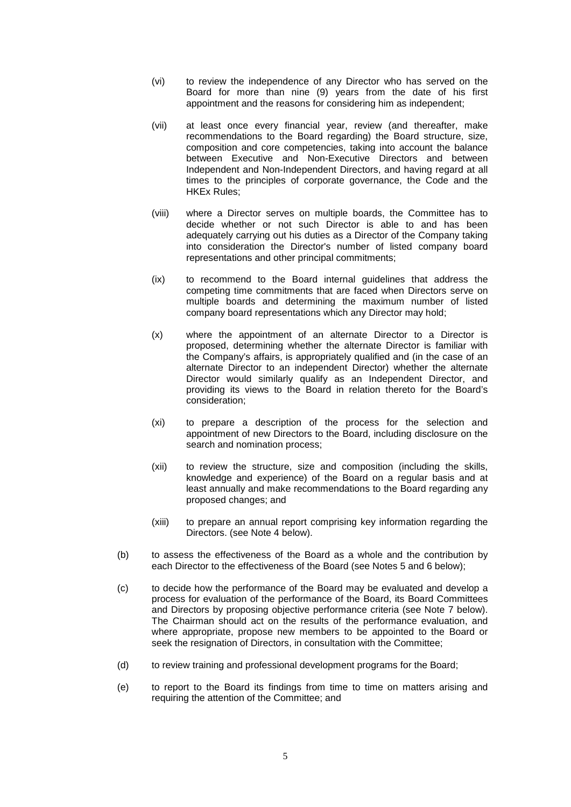- (vi) to review the independence of any Director who has served on the Board for more than nine (9) years from the date of his first appointment and the reasons for considering him as independent;
- (vii) at least once every financial year, review (and thereafter, make recommendations to the Board regarding) the Board structure, size, composition and core competencies, taking into account the balance between Executive and Non-Executive Directors and between Independent and Non-Independent Directors, and having regard at all times to the principles of corporate governance, the Code and the HKEx Rules;
- (viii) where a Director serves on multiple boards, the Committee has to decide whether or not such Director is able to and has been adequately carrying out his duties as a Director of the Company taking into consideration the Director's number of listed company board representations and other principal commitments;
- (ix) to recommend to the Board internal guidelines that address the competing time commitments that are faced when Directors serve on multiple boards and determining the maximum number of listed company board representations which any Director may hold;
- (x) where the appointment of an alternate Director to a Director is proposed, determining whether the alternate Director is familiar with the Company's affairs, is appropriately qualified and (in the case of an alternate Director to an independent Director) whether the alternate Director would similarly qualify as an Independent Director, and providing its views to the Board in relation thereto for the Board's consideration;
- (xi) to prepare a description of the process for the selection and appointment of new Directors to the Board, including disclosure on the search and nomination process;
- (xii) to review the structure, size and composition (including the skills, knowledge and experience) of the Board on a regular basis and at least annually and make recommendations to the Board regarding any proposed changes; and
- (xiii) to prepare an annual report comprising key information regarding the Directors. (see Note 4 below).
- (b) to assess the effectiveness of the Board as a whole and the contribution by each Director to the effectiveness of the Board (see Notes 5 and 6 below);
- (c) to decide how the performance of the Board may be evaluated and develop a process for evaluation of the performance of the Board, its Board Committees and Directors by proposing objective performance criteria (see Note 7 below). The Chairman should act on the results of the performance evaluation, and where appropriate, propose new members to be appointed to the Board or seek the resignation of Directors, in consultation with the Committee;
- (d) to review training and professional development programs for the Board;
- (e) to report to the Board its findings from time to time on matters arising and requiring the attention of the Committee; and